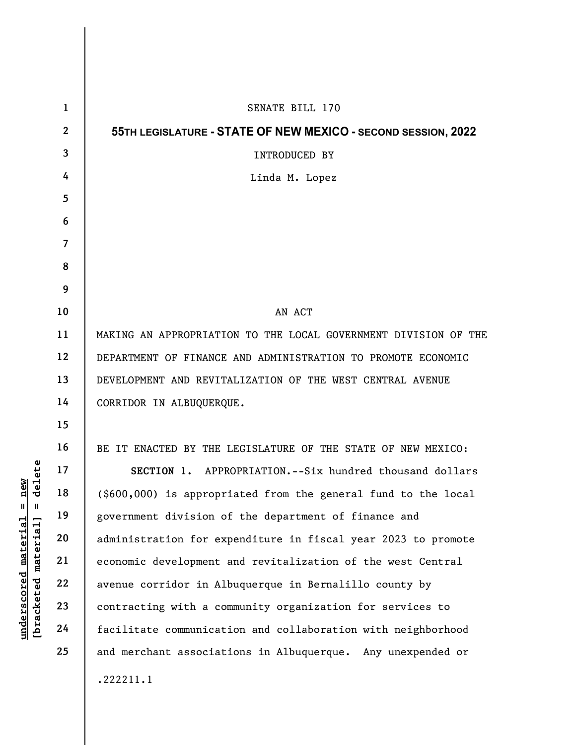|                                                                                                                                | $\mathbf{1}$   | SENATE BILL 170                                                 |  |  |  |  |  |  |  |  |  |
|--------------------------------------------------------------------------------------------------------------------------------|----------------|-----------------------------------------------------------------|--|--|--|--|--|--|--|--|--|
|                                                                                                                                | $\mathbf{2}$   | 55TH LEGISLATURE - STATE OF NEW MEXICO - SECOND SESSION, 2022   |  |  |  |  |  |  |  |  |  |
|                                                                                                                                | 3              | INTRODUCED BY                                                   |  |  |  |  |  |  |  |  |  |
|                                                                                                                                | 4              | Linda M. Lopez                                                  |  |  |  |  |  |  |  |  |  |
|                                                                                                                                | 5              |                                                                 |  |  |  |  |  |  |  |  |  |
|                                                                                                                                | 6              |                                                                 |  |  |  |  |  |  |  |  |  |
|                                                                                                                                | $\overline{7}$ |                                                                 |  |  |  |  |  |  |  |  |  |
|                                                                                                                                | 8              |                                                                 |  |  |  |  |  |  |  |  |  |
|                                                                                                                                | 9              |                                                                 |  |  |  |  |  |  |  |  |  |
| elete<br><b>e</b> w<br>ี่¤<br>ರ<br>$\mathsf{I}$<br>$\mathbf{I}$<br>$underscored$ material<br>[ <del>bracketed material</del> ] | 10             | AN ACT                                                          |  |  |  |  |  |  |  |  |  |
|                                                                                                                                | 11             | MAKING AN APPROPRIATION TO THE LOCAL GOVERNMENT DIVISION OF THE |  |  |  |  |  |  |  |  |  |
|                                                                                                                                | 12             | DEPARTMENT OF FINANCE AND ADMINISTRATION TO PROMOTE ECONOMIC    |  |  |  |  |  |  |  |  |  |
|                                                                                                                                | 13             | DEVELOPMENT AND REVITALIZATION OF THE WEST CENTRAL AVENUE       |  |  |  |  |  |  |  |  |  |
|                                                                                                                                | 14             | CORRIDOR IN ALBUQUERQUE.                                        |  |  |  |  |  |  |  |  |  |
|                                                                                                                                | 15             |                                                                 |  |  |  |  |  |  |  |  |  |
|                                                                                                                                | 16             | BE IT ENACTED BY THE LEGISLATURE OF THE STATE OF NEW MEXICO:    |  |  |  |  |  |  |  |  |  |
|                                                                                                                                | 17             | SECTION 1.<br>APPROPRIATION.--Six hundred thousand dollars      |  |  |  |  |  |  |  |  |  |
|                                                                                                                                | 18             | (\$600,000) is appropriated from the general fund to the local  |  |  |  |  |  |  |  |  |  |
|                                                                                                                                | 19             | government division of the department of finance and            |  |  |  |  |  |  |  |  |  |
|                                                                                                                                | 20             | administration for expenditure in fiscal year 2023 to promote   |  |  |  |  |  |  |  |  |  |
|                                                                                                                                | 21             | economic development and revitalization of the west Central     |  |  |  |  |  |  |  |  |  |
|                                                                                                                                | 22             | avenue corridor in Albuquerque in Bernalillo county by          |  |  |  |  |  |  |  |  |  |
|                                                                                                                                | 23             | contracting with a community organization for services to       |  |  |  |  |  |  |  |  |  |
|                                                                                                                                | 24             | facilitate communication and collaboration with neighborhood    |  |  |  |  |  |  |  |  |  |
|                                                                                                                                | 25             | and merchant associations in Albuquerque. Any unexpended or     |  |  |  |  |  |  |  |  |  |
|                                                                                                                                |                | .222211.1                                                       |  |  |  |  |  |  |  |  |  |
|                                                                                                                                |                |                                                                 |  |  |  |  |  |  |  |  |  |

 $\overline{\phantom{a}}$